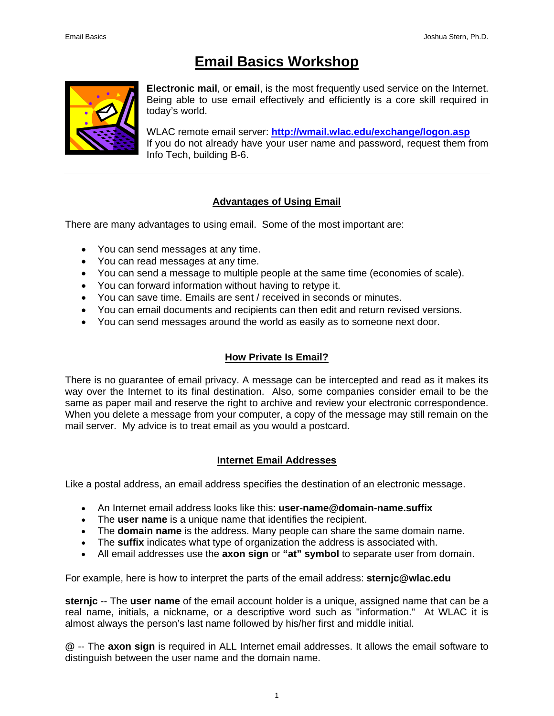# **Email Basics Workshop**



**Electronic mail**, or **email**, is the most frequently used service on the Internet. Being able to use email effectively and efficiently is a core skill required in today's world.

WLAC remote email server: **<http://wmail.wlac.edu/exchange/logon.asp>** If you do not already have your user name and password, request them from Info Tech, building B-6.

# **Advantages of Using Email**

There are many advantages to using email. Some of the most important are:

- You can send messages at any time.
- You can read messages at any time.
- You can send a message to multiple people at the same time (economies of scale).
- You can forward information without having to retype it.
- You can save time. Emails are sent / received in seconds or minutes.
- You can email documents and recipients can then edit and return revised versions.
- You can send messages around the world as easily as to someone next door.

# **How Private Is Email?**

There is no guarantee of email privacy. A message can be intercepted and read as it makes its way over the Internet to its final destination. Also, some companies consider email to be the same as paper mail and reserve the right to archive and review your electronic correspondence. When you delete a message from your computer, a copy of the message may still remain on the mail server. My advice is to treat email as you would a postcard.

# **Internet Email Addresses**

Like a postal address, an email address specifies the destination of an electronic message.

- An Internet email address looks like this: **user-name@domain-name.suffix**
- The **user name** is a unique name that identifies the recipient.
- The **domain name** is the address. Many people can share the same domain name.
- The **suffix** indicates what type of organization the address is associated with.
- All email addresses use the **axon sign** or **"at" symbol** to separate user from domain.

For example, here is how to interpret the parts of the email address: **sternjc@wlac.edu**

**sternjc** -- The **user name** of the email account holder is a unique, assigned name that can be a real name, initials, a nickname, or a descriptive word such as "information."At WLAC it is almost always the person's last name followed by his/her first and middle initial.

**@** -- The **axon sign** is required in ALL Internet email addresses. It allows the email software to distinguish between the user name and the domain name.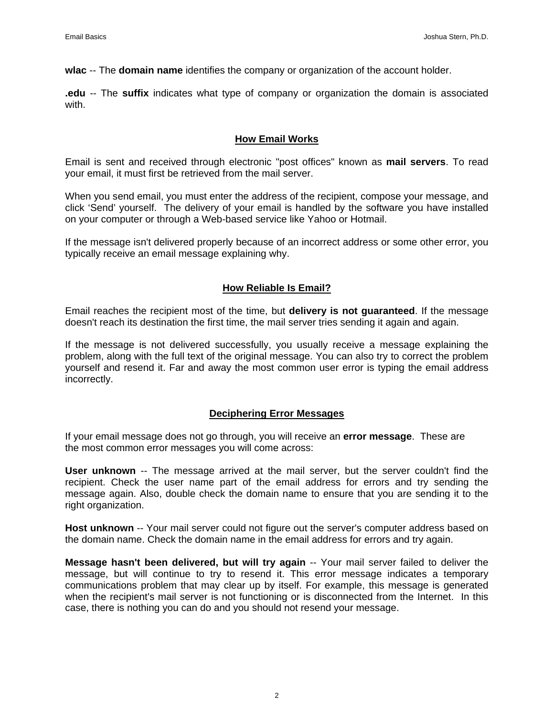**wlac** -- The **domain name** identifies the company or organization of the account holder.

**.edu** -- The **suffix** indicates what type of company or organization the domain is associated with.

#### **How Email Works**

Email is sent and received through electronic "post offices" known as **mail servers**. To read your email, it must first be retrieved from the mail server.

When you send email, you must enter the address of the recipient, compose your message, and click 'Send' yourself. The delivery of your email is handled by the software you have installed on your computer or through a Web-based service like Yahoo or Hotmail.

If the message isn't delivered properly because of an incorrect address or some other error, you typically receive an email message explaining why.

#### **How Reliable Is Email?**

Email reaches the recipient most of the time, but **delivery is not guaranteed**. If the message doesn't reach its destination the first time, the mail server tries sending it again and again.

If the message is not delivered successfully, you usually receive a message explaining the problem, along with the full text of the original message. You can also try to correct the problem yourself and resend it. Far and away the most common user error is typing the email address incorrectly.

#### **Deciphering Error Messages**

If your email message does not go through, you will receive an **error message**. These are the most common error messages you will come across:

**User unknown** -- The message arrived at the mail server, but the server couldn't find the recipient. Check the user name part of the email address for errors and try sending the message again. Also, double check the domain name to ensure that you are sending it to the right organization.

**Host unknown** -- Your mail server could not figure out the server's computer address based on the domain name. Check the domain name in the email address for errors and try again.

**Message hasn't been delivered, but will try again** -- Your mail server failed to deliver the message, but will continue to try to resend it. This error message indicates a temporary communications problem that may clear up by itself. For example, this message is generated when the recipient's mail server is not functioning or is disconnected from the Internet. In this case, there is nothing you can do and you should not resend your message.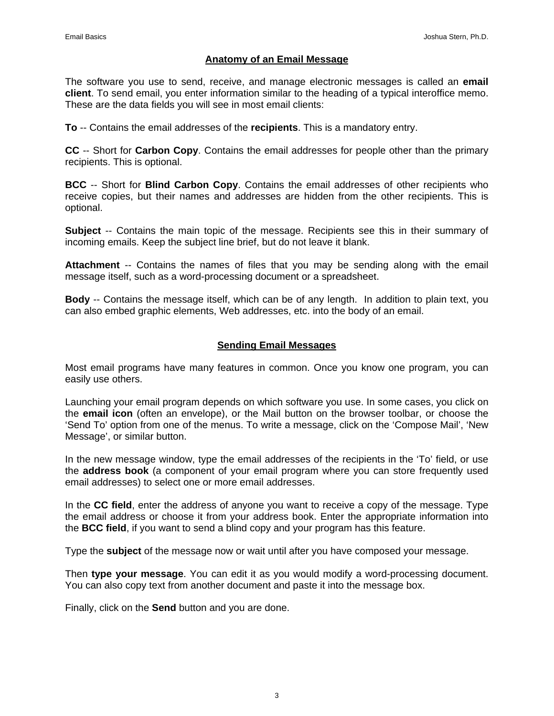#### **Anatomy of an Email Message**

The software you use to send, receive, and manage electronic messages is called an **email client**. To send email, you enter information similar to the heading of a typical interoffice memo. These are the data fields you will see in most email clients:

**To** -- Contains the email addresses of the **recipients**. This is a mandatory entry.

**CC** -- Short for **Carbon Copy**. Contains the email addresses for people other than the primary recipients. This is optional.

**BCC** -- Short for **Blind Carbon Copy**. Contains the email addresses of other recipients who receive copies, but their names and addresses are hidden from the other recipients. This is optional.

**Subject** -- Contains the main topic of the message. Recipients see this in their summary of incoming emails. Keep the subject line brief, but do not leave it blank.

**Attachment** -- Contains the names of files that you may be sending along with the email message itself, such as a word-processing document or a spreadsheet.

**Body** -- Contains the message itself, which can be of any length. In addition to plain text, you can also embed graphic elements, Web addresses, etc. into the body of an email.

#### **Sending Email Messages**

Most email programs have many features in common. Once you know one program, you can easily use others.

Launching your email program depends on which software you use. In some cases, you click on the **email icon** (often an envelope), or the Mail button on the browser toolbar, or choose the 'Send To' option from one of the menus. To write a message, click on the 'Compose Mail', 'New Message', or similar button.

In the new message window, type the email addresses of the recipients in the 'To' field, or use the **address book** (a component of your email program where you can store frequently used email addresses) to select one or more email addresses.

In the **CC field**, enter the address of anyone you want to receive a copy of the message. Type the email address or choose it from your address book. Enter the appropriate information into the **BCC field**, if you want to send a blind copy and your program has this feature.

Type the **subject** of the message now or wait until after you have composed your message.

Then **type your message**. You can edit it as you would modify a word-processing document. You can also copy text from another document and paste it into the message box.

Finally, click on the **Send** button and you are done.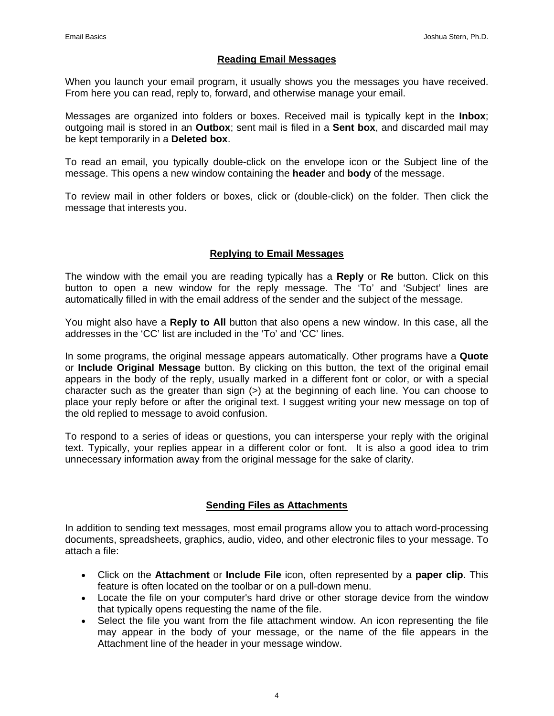#### **Reading Email Messages**

When you launch your email program, it usually shows you the messages you have received. From here you can read, reply to, forward, and otherwise manage your email.

Messages are organized into folders or boxes. Received mail is typically kept in the **Inbox**; outgoing mail is stored in an **Outbox**; sent mail is filed in a **Sent box**, and discarded mail may be kept temporarily in a **Deleted box**.

To read an email, you typically double-click on the envelope icon or the Subject line of the message. This opens a new window containing the **header** and **body** of the message.

To review mail in other folders or boxes, click or (double-click) on the folder. Then click the message that interests you.

## **Replying to Email Messages**

The window with the email you are reading typically has a **Reply** or **Re** button. Click on this button to open a new window for the reply message. The 'To' and 'Subject' lines are automatically filled in with the email address of the sender and the subject of the message.

You might also have a **Reply to All** button that also opens a new window. In this case, all the addresses in the 'CC' list are included in the 'To' and 'CC' lines.

In some programs, the original message appears automatically. Other programs have a **Quote** or **Include Original Message** button. By clicking on this button, the text of the original email appears in the body of the reply, usually marked in a different font or color, or with a special character such as the greater than sign  $(>)$  at the beginning of each line. You can choose to place your reply before or after the original text. I suggest writing your new message on top of the old replied to message to avoid confusion.

To respond to a series of ideas or questions, you can intersperse your reply with the original text. Typically, your replies appear in a different color or font. It is also a good idea to trim unnecessary information away from the original message for the sake of clarity.

#### **Sending Files as Attachments**

In addition to sending text messages, most email programs allow you to attach word-processing documents, spreadsheets, graphics, audio, video, and other electronic files to your message. To attach a file:

- Click on the **Attachment** or **Include File** icon, often represented by a **paper clip**. This feature is often located on the toolbar or on a pull-down menu.
- Locate the file on your computer's hard drive or other storage device from the window that typically opens requesting the name of the file.
- Select the file you want from the file attachment window. An icon representing the file may appear in the body of your message, or the name of the file appears in the Attachment line of the header in your message window.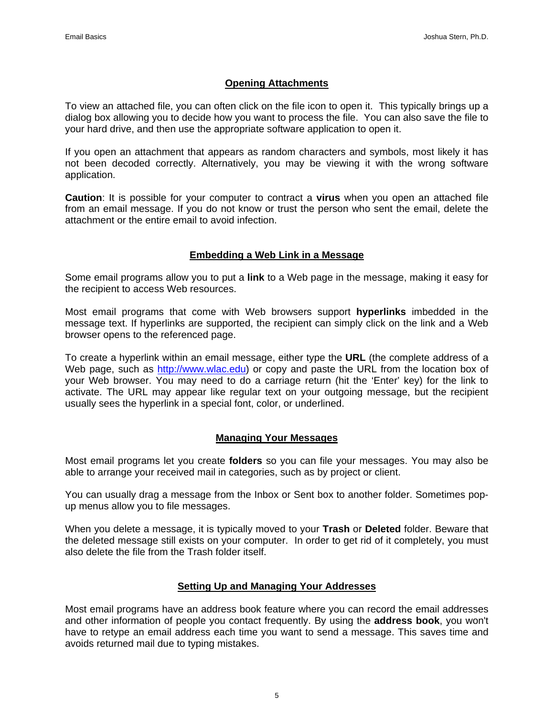#### **Opening Attachments**

To view an attached file, you can often click on the file icon to open it.This typically brings up a dialog box allowing you to decide how you want to process the file. You can also save the file to your hard drive, and then use the appropriate software application to open it.

If you open an attachment that appears as random characters and symbols, most likely it has not been decoded correctly. Alternatively, you may be viewing it with the wrong software application.

**Caution**: It is possible for your computer to contract a **virus** when you open an attached file from an email message. If you do not know or trust the person who sent the email, delete the attachment or the entire email to avoid infection.

#### **Embedding a Web Link in a Message**

Some email programs allow you to put a **link** to a Web page in the message, making it easy for the recipient to access Web resources.

Most email programs that come with Web browsers support **hyperlinks** imbedded in the message text. If hyperlinks are supported, the recipient can simply click on the link and a Web browser opens to the referenced page.

To create a hyperlink within an email message, either type the **URL** (the complete address of a Web page, such as [http://www.wlac.edu\)](http://www.wlac.edu/) or copy and paste the URL from the location box of your Web browser. You may need to do a carriage return (hit the 'Enter' key) for the link to activate. The URL may appear like regular text on your outgoing message, but the recipient usually sees the hyperlink in a special font, color, or underlined.

#### **Managing Your Messages**

Most email programs let you create **folders** so you can file your messages. You may also be able to arrange your received mail in categories, such as by project or client.

You can usually drag a message from the Inbox or Sent box to another folder. Sometimes popup menus allow you to file messages.

When you delete a message, it is typically moved to your **Trash** or **Deleted** folder. Beware that the deleted message still exists on your computer. In order to get rid of it completely, you must also delete the file from the Trash folder itself.

#### **Setting Up and Managing Your Addresses**

Most email programs have an address book feature where you can record the email addresses and other information of people you contact frequently. By using the **address book**, you won't have to retype an email address each time you want to send a message. This saves time and avoids returned mail due to typing mistakes.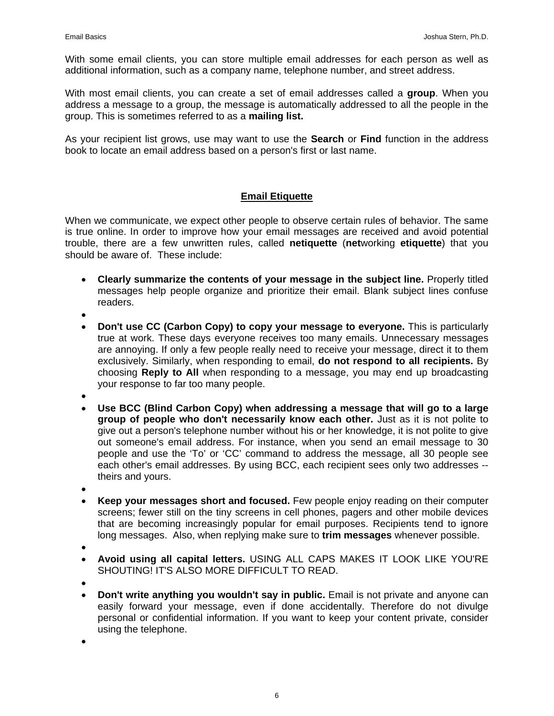With some email clients, you can store multiple email addresses for each person as well as additional information, such as a company name, telephone number, and street address.

With most email clients, you can create a set of email addresses called a **group**. When you address a message to a group, the message is automatically addressed to all the people in the group. This is sometimes referred to as a **mailing list.** 

As your recipient list grows, use may want to use the **Search** or **Find** function in the address book to locate an email address based on a person's first or last name.

## **Email Etiquette**

When we communicate, we expect other people to observe certain rules of behavior. The same is true online. In order to improve how your email messages are received and avoid potential trouble, there are a few unwritten rules, called **netiquette** (**net**working **etiquette**) that you should be aware of. These include:

- **Clearly summarize the contents of your message in the subject line.** Properly titled messages help people organize and prioritize their email. Blank subject lines confuse readers.
- •
- **Don't use CC (Carbon Copy) to copy your message to everyone.** This is particularly true at work. These days everyone receives too many emails. Unnecessary messages are annoying. If only a few people really need to receive your message, direct it to them exclusively. Similarly, when responding to email, **do not respond to all recipients.** By choosing **Reply to All** when responding to a message, you may end up broadcasting your response to far too many people.
- •
- **Use BCC (Blind Carbon Copy) when addressing a message that will go to a large group of people who don't necessarily know each other.** Just as it is not polite to give out a person's telephone number without his or her knowledge, it is not polite to give out someone's email address. For instance, when you send an email message to 30 people and use the 'To' or 'CC' command to address the message, all 30 people see each other's email addresses. By using BCC, each recipient sees only two addresses - theirs and yours.
- •
- **Keep your messages short and focused.** Few people enjoy reading on their computer screens; fewer still on the tiny screens in cell phones, pagers and other mobile devices that are becoming increasingly popular for email purposes. Recipients tend to ignore long messages. Also, when replying make sure to **trim messages** whenever possible.
- •
- **Avoid using all capital letters.** USING ALL CAPS MAKES IT LOOK LIKE YOU'RE SHOUTING! IT'S ALSO MORE DIFFICULT TO READ.
- •
- **Don't write anything you wouldn't say in public.** Email is not private and anyone can easily forward your message, even if done accidentally. Therefore do not divulge personal or confidential information. If you want to keep your content private, consider using the telephone.

•